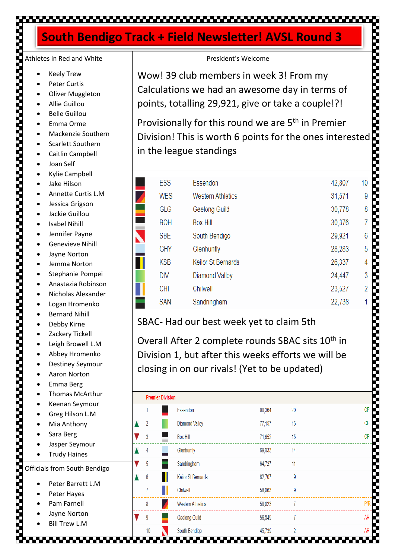### 

### **South Bendigo Track + Field Newsletter! AVSL Round 3**

# Athletes in Red and White

- **Keely Trew**
- Peter Curtis
- **Oliver Muggleton**
- Allie Guillou
- Belle Guillou
- Emma Orme
- Mackenzie Southern
- Scarlett Southern
- Caitlin Campbell
- Joan Self
- Kylie Campbell
- Jake Hilson
- Annette Curtis L.M
- Jessica Grigson
- Jackie Guillou
- **Isabel Nihill**
- Jennifer Payne
- Genevieve Nihill
- Jayne Norton
- Jemma Norton
- Stephanie Pompei
- Anastazia Robinson
- Nicholas Alexander
- Logan Hromenko
- Bernard Nihill
- Debby Kirne
- Zackery Tickell
- Leigh Browell L.M
- Abbey Hromenko
- Destiney Seymour
- Aaron Norton
- Emma Berg
- Thomas McArthur
- Keenan Seymour
- Greg Hilson L.M
- Mia Anthony
- Sara Berg
- Jasper Seymour
- Trudy Haines

Officials from South Bendigo

- Peter Barrett L.M
	- Peter Hayes
	- Pam Farnell
	- Jayne Norton
	- **Bill Trew L.M**

,,,,,,,,,,,,,,

### President's Welcome

Wow! 39 club members in week 3! From my Calculations we had an awesome day in terms of points, totalling 29,921, give or take a couple!?!

Provisionally for this round we are 5<sup>th</sup> in Premier Division! This is worth 6 points for the ones interested<br>in the league standings<br>F in the league standings

,,,,,,,,,,,,,

| <b>ESS</b> | Essendon                  | 42,807 | 10             |
|------------|---------------------------|--------|----------------|
| <b>WES</b> | <b>Western Athletics</b>  | 31,571 | 9              |
| GLG        | Geelong Guild             | 30,778 | 8              |
| <b>BOH</b> | <b>Box Hill</b>           | 30,376 | 7              |
| <b>SBE</b> | South Bendigo             | 29,921 | 6              |
| <b>GHY</b> | Glenhuntly                | 28,283 | 5              |
| <b>KSB</b> | <b>Keilor St Bernards</b> | 26,337 | 4              |
| <b>DIV</b> | <b>Diamond Valley</b>     | 24,447 | 3              |
| <b>CHI</b> | Chilwell                  | 23,527 | $\overline{2}$ |
| <b>SAN</b> | Sandringham               | 22,738 | 1              |
|            |                           |        |                |

|                                          | <b>ESS</b>              | Essendon                                                                                                                                                              |                  |          | 42,807 | 10                          |
|------------------------------------------|-------------------------|-----------------------------------------------------------------------------------------------------------------------------------------------------------------------|------------------|----------|--------|-----------------------------|
|                                          | <b>WES</b>              | <b>Western Athletics</b>                                                                                                                                              |                  |          | 31,571 | 9                           |
|                                          | GLG                     | Geelong Guild                                                                                                                                                         |                  |          | 30,778 | 8                           |
|                                          | <b>BOH</b>              | <b>Box Hill</b>                                                                                                                                                       |                  |          | 30,376 |                             |
|                                          | <b>SBE</b>              | South Bendigo                                                                                                                                                         |                  |          | 29,921 | 6                           |
|                                          | <b>GHY</b>              | Glenhuntly                                                                                                                                                            |                  |          | 28,283 | 5                           |
|                                          | <b>KSB</b>              | <b>Keilor St Bernards</b>                                                                                                                                             |                  |          | 26,337 |                             |
|                                          | <b>DIV</b>              | <b>Diamond Valley</b>                                                                                                                                                 |                  |          | 24,447 | 3                           |
|                                          | <b>CHI</b>              | Chilwell                                                                                                                                                              |                  |          | 23,527 | 2                           |
|                                          | <b>SAN</b>              | Sandringham                                                                                                                                                           |                  |          | 22,738 |                             |
| SBAC- Had our best week yet to claim 5th |                         | Overall After 2 complete rounds SBAC sits 10 <sup>th</sup> in<br>Division 1, but after this weeks efforts we will be<br>closing in on our rivals! (Yet to be updated) |                  |          |        |                             |
|                                          |                         |                                                                                                                                                                       |                  |          |        |                             |
|                                          | <b>Premier Division</b> |                                                                                                                                                                       |                  |          |        |                             |
| 1                                        |                         | Essendon                                                                                                                                                              | 90,364           | 20<br>16 |        |                             |
| 2<br>3                                   |                         | <b>Diamond Valley</b><br><b>Box Hill</b>                                                                                                                              | 77,157           | 15       |        |                             |
| 4                                        |                         | Glenhuntly                                                                                                                                                            | 71,652<br>69,633 | 14       |        |                             |
| 5                                        |                         | Sandringham                                                                                                                                                           | 64,727           | 11       |        |                             |
| 6                                        |                         | Keilor St Bernards                                                                                                                                                    | 62,707           | 9        |        |                             |
| 7                                        |                         | Chilwell                                                                                                                                                              | 58,063           | 9        |        |                             |
| 8                                        |                         | <b>Western Athletics</b>                                                                                                                                              | 58,023           | 7        |        |                             |
| 9                                        |                         | Geelong Guild                                                                                                                                                         | 56,849           | 7        |        | СP<br>СP<br>СP<br><b>AR</b> |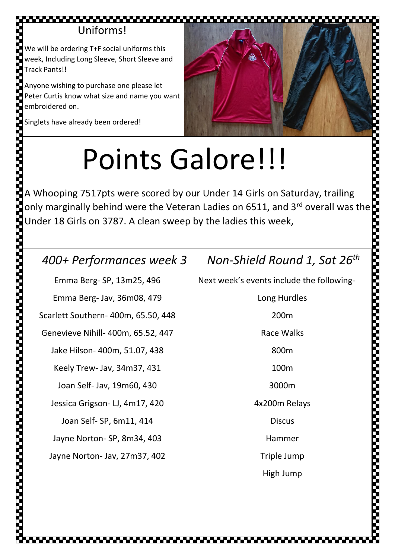### Uniforms!

We will be ordering T+F social uniforms this week, Including Long Sleeve, Short Sleeve and Track Pants!!

Anyone wishing to purchase one please let Peter Curtis know what size and name you want embroidered on.



Singlets have already been ordered!

# Points Galore!!!

A Whooping 7517pts were scored by our Under 14 Girls on Saturday, trailing **Points Galore!!!**<br>A Whooping 7517pts were scored by our Under 14 Girls on Saturday, trailing<br>only marginally behind were the Veteran Ladies on 6511, and 3<sup>rd</sup> overall was the<br>Under 18 Girls on 3787. A clean sweep by the l Under 18 Girls on 3787. A clean sweep by the ladies this week,

### *400+ Performances week 3*

Emma Berg- SP, 13m25, 496 Emma Berg- Jav, 36m08, 479 Scarlett Southern- 400m, 65.50, 448 Genevieve Nihill- 400m, 65.52, 447 Jake Hilson- 400m, 51.07, 438 Keely Trew- Jav, 34m37, 431 Joan Self- Jav, 19m60, 430 Jessica Grigson- LJ, 4m17, 420 Joan Self- SP, 6m11, 414 Jayne Norton- SP, 8m34, 403 Jayne Norton- Jav, 27m37, 402

### *Non-Shield Round 1, Sat 26th*

Next week's events include the following-

Long Hurdles 200m Race Walks 800m 100m 3000m 4x200m Relays **Discus** Hammer Triple Jump High Jump

**Designation of the company of the company's company**